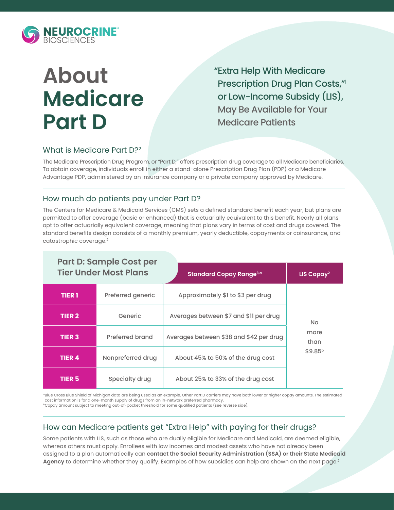

# **About Medicare Part D**

"Extra Help With Medicare Prescription Drug Plan Costs,"1 or Low-Income Subsidy (LIS), May Be Available for Your Medicare Patients

## What is Medicare Part D?2

The Medicare Prescription Drug Program, or "Part D," offers prescription drug coverage to all Medicare beneficiaries. To obtain coverage, individuals enroll in either a stand-alone Prescription Drug Plan (PDP) or a Medicare Advantage PDP, administered by an insurance company or a private company approved by Medicare.

### How much do patients pay under Part D?

The Centers for Medicare & Medicaid Services (CMS) sets a defined standard benefit each year, but plans are permitted to offer coverage (basic or enhanced) that is actuarially equivalent to this benefit. Nearly all plans opt to offer actuarially equivalent coverage, meaning that plans vary in terms of cost and drugs covered. The standard benefits design consists of a monthly premium, yearly deductible, copayments or coinsurance, and catastrophic coverage.2

| <b>Part D: Sample Cost per</b><br><b>Tier Under Most Plans</b> |                   | <b>Standard Copay Range<sup>3,a</sup></b> | $LIS$ Copay <sup>2</sup> |
|----------------------------------------------------------------|-------------------|-------------------------------------------|--------------------------|
| <b>TIER 1</b>                                                  | Preferred generic | Approximately \$1 to \$3 per drug         |                          |
| TIER <sub>2</sub>                                              | Generic           | Averages between \$7 and \$11 per drug    | N <sub>o</sub>           |
| <b>TIER 3</b>                                                  | Preferred brand   | Averages between \$38 and \$42 per drug   | more<br>than             |
| <b>TIER 4</b>                                                  | Nonpreferred drug | About 45% to 50% of the drug cost         | $$9.85^{\circ}$          |
| <b>TIER 5</b>                                                  | Specialty drug    | About 25% to 33% of the drug cost         |                          |

<sup>a</sup>Blue Cross Blue Shield of Michigan data are being used as an example. Other Part D carriers may have both lower or higher copay amounts. The estimated cost information is for a one-month supply of drugs from an in-network preferred pharmacy.

bCopay amount subject to meeting out-of-pocket threshold for some qualified patients (see reverse side).

# How can Medicare patients get "Extra Help" with paying for their drugs?

Some patients with LIS, such as those who are dually eligible for Medicare and Medicaid, are deemed eligible, whereas others must apply. Enrollees with low incomes and modest assets who have not already been assigned to a plan automatically can **contact the Social Security Administration (SSA) or their State Medicaid**  Agency to determine whether they qualify. Examples of how subsidies can help are shown on the next page.<sup>2</sup>